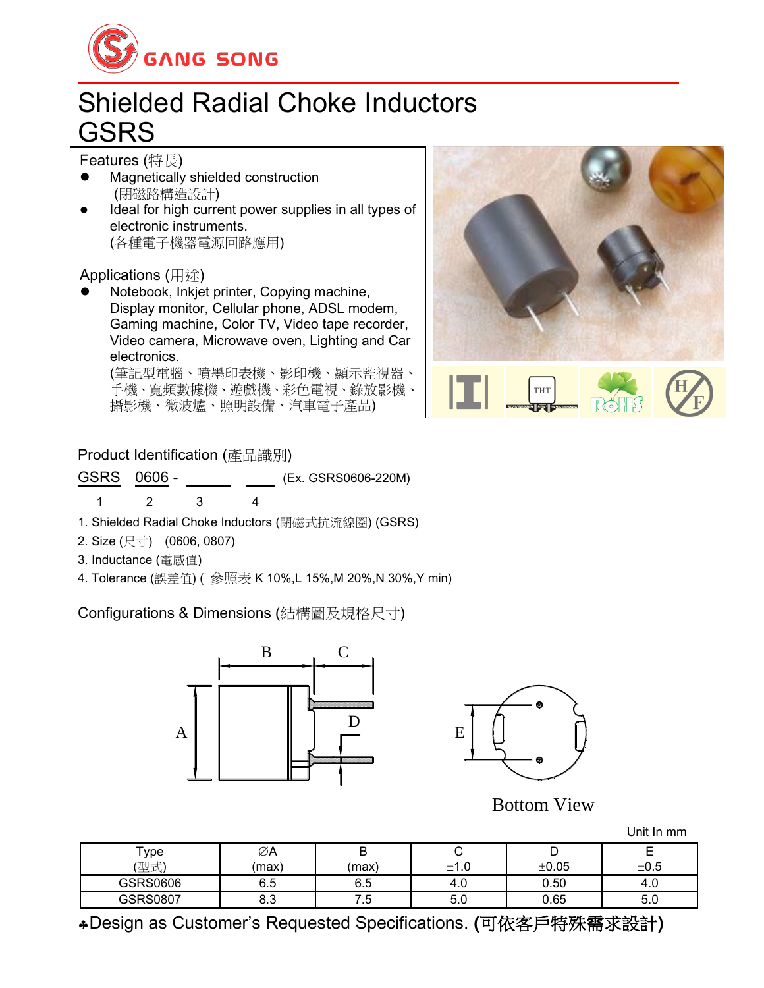

## Shielded Radial Choke Inductors **GSRS**

Features (特長)

- ⚫ Magnetically shielded construction (閉磁路構造設計)
- Ideal for high current power supplies in all types of electronic instruments. (各種電子機器電源回路應用)

Applications (用途)

⚫ Notebook, Inkjet printer, Copying machine, Display monitor, Cellular phone, ADSL modem, Gaming machine, Color TV, Video tape recorder, Video camera, Microwave oven, Lighting and Car electronics. (筆記型電腦、噴墨印表機、影印機、顯示監視器、

手機、寬頻數據機、遊戲機、彩色電視、錄放影機、 攝影機、微波爐、照明設備、汽車電子產品)



**THT** 

Product Identification (產品識別)

GSRS 0606 - (Ex. GSRS0606-220M) 1 2 3 4

- 1. Shielded Radial Choke Inductors (閉磁式抗流線圈) (GSRS)
- 2. Size (尺寸) (0606, 0807)
- 3. Inductance (電感值)
- 4. Tolerance (誤差值) ( 參照表 K 10%,L 15%,M 20%,N 30%,Y min)

Configurations & Dimensions (結構圖及規格尺寸)





Bottom View

Unit In mm

| $\mathsf{^{T}ype}$<br>(型式) | ∅A<br>(max) | ц<br>(max) |      | ±0.05 | ±0.5 |
|----------------------------|-------------|------------|------|-------|------|
| GSRS0606                   | ี<br>∪.∪    | -<br>υ.υ   | 4.U  | 0.50  | 4.U  |
| GSRS0807                   | ი.ა         |            | ິບ.ບ | 0.65  | J.U  |

Design as Customer's Requested Specifications. (可依客戶特殊需求設計)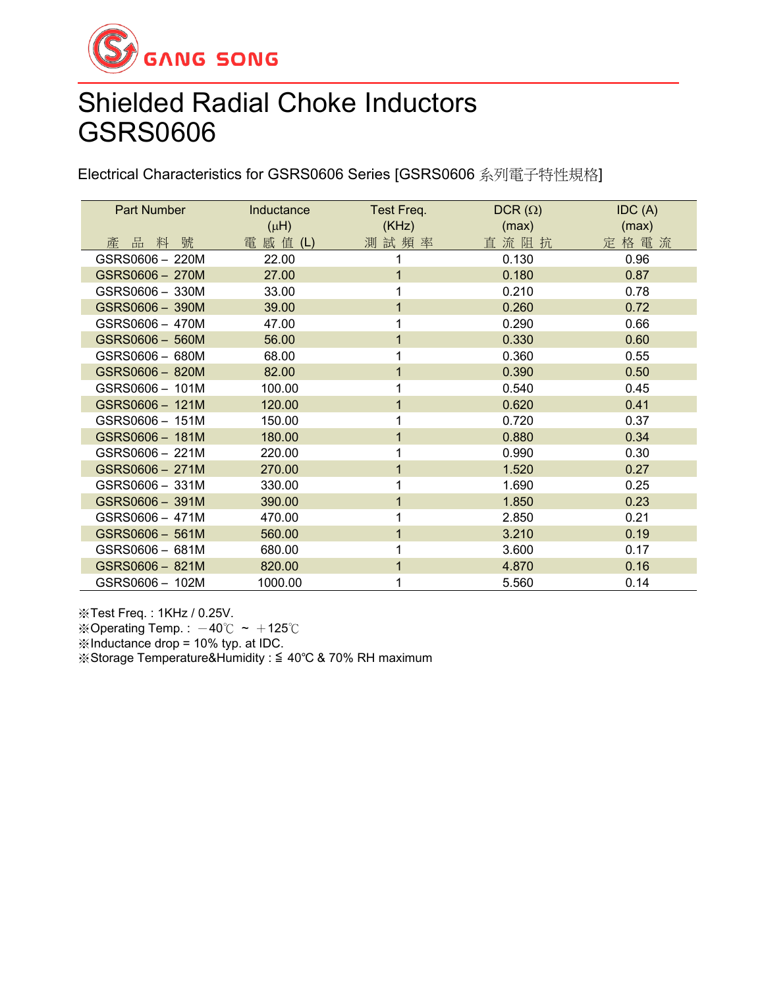

## Shielded Radial Choke Inductors GSRS0606

Electrical Characteristics for GSRS0606 Series [GSRS0606 系列電子特性規格]

| <b>Part Number</b> | Inductance<br>$(\mu H)$ | Test Freq.<br>(KHz) | $DCR(\Omega)$<br>(max) | IDC(A)<br>(max) |
|--------------------|-------------------------|---------------------|------------------------|-----------------|
| 產品料號               | 電 感 值 (L)               | 測試頻率                | 直流阻抗                   | 定格電流            |
| GSRS0606 - 220M    | 22.00                   | 1                   | 0.130                  | 0.96            |
| GSRS0606 - 270M    | 27.00                   | $\overline{1}$      | 0.180                  | 0.87            |
| GSRS0606 - 330M    | 33.00                   | 1                   | 0.210                  | 0.78            |
| GSRS0606 - 390M    | 39.00                   | 1                   | 0.260                  | 0.72            |
| GSRS0606 - 470M    | 47.00                   | 1                   | 0.290                  | 0.66            |
| GSRS0606 - 560M    | 56.00                   | 1                   | 0.330                  | 0.60            |
| GSRS0606 - 680M    | 68.00                   |                     | 0.360                  | 0.55            |
| GSRS0606 - 820M    | 82.00                   | 1                   | 0.390                  | 0.50            |
| GSRS0606 - 101M    | 100.00                  | 1                   | 0.540                  | 0.45            |
| GSRS0606 - 121M    | 120.00                  | 1                   | 0.620                  | 0.41            |
| GSRS0606 - 151M    | 150.00                  | 1                   | 0.720                  | 0.37            |
| GSRS0606 - 181M    | 180.00                  | 1                   | 0.880                  | 0.34            |
| GSRS0606 - 221M    | 220.00                  | 1                   | 0.990                  | 0.30            |
| GSRS0606 - 271M    | 270.00                  | 1                   | 1.520                  | 0.27            |
| GSRS0606 - 331M    | 330.00                  | 1                   | 1.690                  | 0.25            |
| GSRS0606 - 391M    | 390.00                  | $\mathbf 1$         | 1.850                  | 0.23            |
| GSRS0606 - 471M    | 470.00                  | 1                   | 2.850                  | 0.21            |
| GSRS0606 - 561M    | 560.00                  | 1                   | 3.210                  | 0.19            |
| GSRS0606 - 681M    | 680.00                  | 1                   | 3.600                  | 0.17            |
| GSRS0606 - 821M    | 820.00                  | 1                   | 4.870                  | 0.16            |
| GSRS0606 - 102M    | 1000.00                 | 1                   | 5.560                  | 0.14            |

※Test Freq. : 1KHz / 0.25V. ※Operating Temp.:  $-40^{\circ}$ C ~  $+125^{\circ}$ C ※Inductance drop = 10% typ. at IDC. ※Storage Temperature&Humidity : ≦ 40℃ & 70% RH maximum